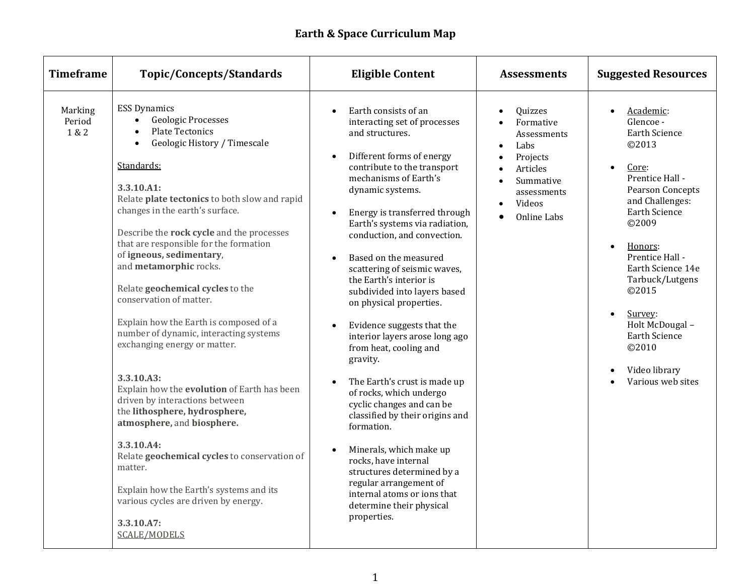| <b>Timeframe</b>           | <b>Topic/Concepts/Standards</b>                                                                                                                                                                                                                                                                                                                                                                                                                                                                                                                                                                                                                                                                                                                                                                                                                                                                                                        | <b>Eligible Content</b>                                                                                                                                                                                                                                                                                                                                                                                                                                                                                                                                                                                                                                                                                                                                                                                                                                                                                                                                          | <b>Assessments</b>                                                                                                                                                                  | <b>Suggested Resources</b>                                                                                                                                                                                                                                                                                                                                                                    |
|----------------------------|----------------------------------------------------------------------------------------------------------------------------------------------------------------------------------------------------------------------------------------------------------------------------------------------------------------------------------------------------------------------------------------------------------------------------------------------------------------------------------------------------------------------------------------------------------------------------------------------------------------------------------------------------------------------------------------------------------------------------------------------------------------------------------------------------------------------------------------------------------------------------------------------------------------------------------------|------------------------------------------------------------------------------------------------------------------------------------------------------------------------------------------------------------------------------------------------------------------------------------------------------------------------------------------------------------------------------------------------------------------------------------------------------------------------------------------------------------------------------------------------------------------------------------------------------------------------------------------------------------------------------------------------------------------------------------------------------------------------------------------------------------------------------------------------------------------------------------------------------------------------------------------------------------------|-------------------------------------------------------------------------------------------------------------------------------------------------------------------------------------|-----------------------------------------------------------------------------------------------------------------------------------------------------------------------------------------------------------------------------------------------------------------------------------------------------------------------------------------------------------------------------------------------|
| Marking<br>Period<br>1 & 2 | <b>ESS Dynamics</b><br><b>Geologic Processes</b><br>$\bullet$<br><b>Plate Tectonics</b><br>Geologic History / Timescale<br>Standards:<br>3.3.10.A1:<br>Relate plate tectonics to both slow and rapid<br>changes in the earth's surface.<br>Describe the rock cycle and the processes<br>that are responsible for the formation<br>of igneous, sedimentary,<br>and metamorphic rocks.<br>Relate geochemical cycles to the<br>conservation of matter.<br>Explain how the Earth is composed of a<br>number of dynamic, interacting systems<br>exchanging energy or matter.<br>3.3.10.A3:<br>Explain how the evolution of Earth has been<br>driven by interactions between<br>the lithosphere, hydrosphere,<br>atmosphere, and biosphere.<br>3.3.10.A4:<br>Relate geochemical cycles to conservation of<br>matter.<br>Explain how the Earth's systems and its<br>various cycles are driven by energy.<br>3.3.10.A7:<br><b>SCALE/MODELS</b> | Earth consists of an<br>$\bullet$<br>interacting set of processes<br>and structures.<br>Different forms of energy<br>$\bullet$<br>contribute to the transport<br>mechanisms of Earth's<br>dynamic systems.<br>Energy is transferred through<br>$\bullet$<br>Earth's systems via radiation,<br>conduction, and convection.<br>Based on the measured<br>$\bullet$<br>scattering of seismic waves,<br>the Earth's interior is<br>subdivided into layers based<br>on physical properties.<br>Evidence suggests that the<br>$\bullet$<br>interior layers arose long ago<br>from heat, cooling and<br>gravity.<br>The Earth's crust is made up<br>$\bullet$<br>of rocks, which undergo<br>cyclic changes and can be<br>classified by their origins and<br>formation.<br>Minerals, which make up<br>$\bullet$<br>rocks, have internal<br>structures determined by a<br>regular arrangement of<br>internal atoms or ions that<br>determine their physical<br>properties. | Quizzes<br>Formative<br>Assessments<br>Labs<br>$\bullet$<br>Projects<br>$\bullet$<br>Articles<br>Summative<br>$\bullet$<br>assessments<br>Videos<br>$\bullet$<br><b>Online Labs</b> | Academic:<br>$\bullet$<br>Glencoe -<br><b>Earth Science</b><br>©2013<br>Core:<br>$\bullet$<br>Prentice Hall -<br><b>Pearson Concepts</b><br>and Challenges:<br><b>Earth Science</b><br>©2009<br>Honors:<br>$\bullet$<br>Prentice Hall -<br>Earth Science 14e<br>Tarbuck/Lutgens<br>©2015<br>Survey:<br>Holt McDougal -<br><b>Earth Science</b><br>©2010<br>Video library<br>Various web sites |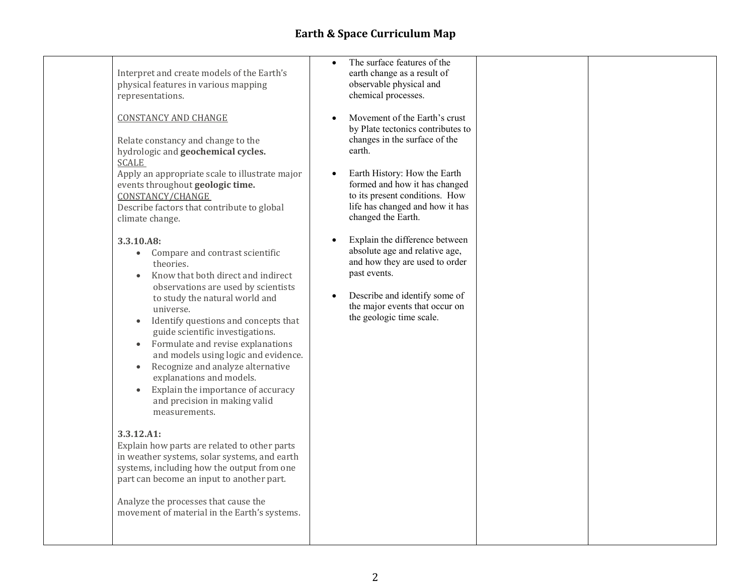| The surface features of the<br>$\bullet$<br>Interpret and create models of the Earth's<br>earth change as a result of<br>physical features in various mapping<br>observable physical and<br>chemical processes.<br>representations.<br><b>CONSTANCY AND CHANGE</b><br>Movement of the Earth's crust<br>by Plate tectonics contributes to<br>changes in the surface of the<br>Relate constancy and change to the<br>earth.<br>hydrologic and geochemical cycles.                                                                                                                                                                                                                                                                                                                                                                                                                                                                                                                                                                                                                                                           |  |
|---------------------------------------------------------------------------------------------------------------------------------------------------------------------------------------------------------------------------------------------------------------------------------------------------------------------------------------------------------------------------------------------------------------------------------------------------------------------------------------------------------------------------------------------------------------------------------------------------------------------------------------------------------------------------------------------------------------------------------------------------------------------------------------------------------------------------------------------------------------------------------------------------------------------------------------------------------------------------------------------------------------------------------------------------------------------------------------------------------------------------|--|
|                                                                                                                                                                                                                                                                                                                                                                                                                                                                                                                                                                                                                                                                                                                                                                                                                                                                                                                                                                                                                                                                                                                           |  |
| <b>SCALE</b><br>Earth History: How the Earth<br>Apply an appropriate scale to illustrate major<br>$\bullet$<br>formed and how it has changed<br>events throughout geologic time.<br>to its present conditions. How<br>CONSTANCY/CHANGE<br>life has changed and how it has<br>Describe factors that contribute to global<br>changed the Earth.<br>climate change.                                                                                                                                                                                                                                                                                                                                                                                                                                                                                                                                                                                                                                                                                                                                                          |  |
| Explain the difference between<br>3.3.10.A8:<br>$\bullet$<br>absolute age and relative age,<br>Compare and contrast scientific<br>$\bullet$<br>and how they are used to order<br>theories.<br>past events.<br>Know that both direct and indirect<br>observations are used by scientists<br>Describe and identify some of<br>$\bullet$<br>to study the natural world and<br>the major events that occur on<br>universe.<br>the geologic time scale.<br>Identify questions and concepts that<br>$\bullet$<br>guide scientific investigations.<br>Formulate and revise explanations<br>$\bullet$<br>and models using logic and evidence.<br>Recognize and analyze alternative<br>$\bullet$<br>explanations and models.<br>Explain the importance of accuracy<br>$\bullet$<br>and precision in making valid<br>measurements.<br>3.3.12.A1:<br>Explain how parts are related to other parts<br>in weather systems, solar systems, and earth<br>systems, including how the output from one<br>part can become an input to another part.<br>Analyze the processes that cause the<br>movement of material in the Earth's systems. |  |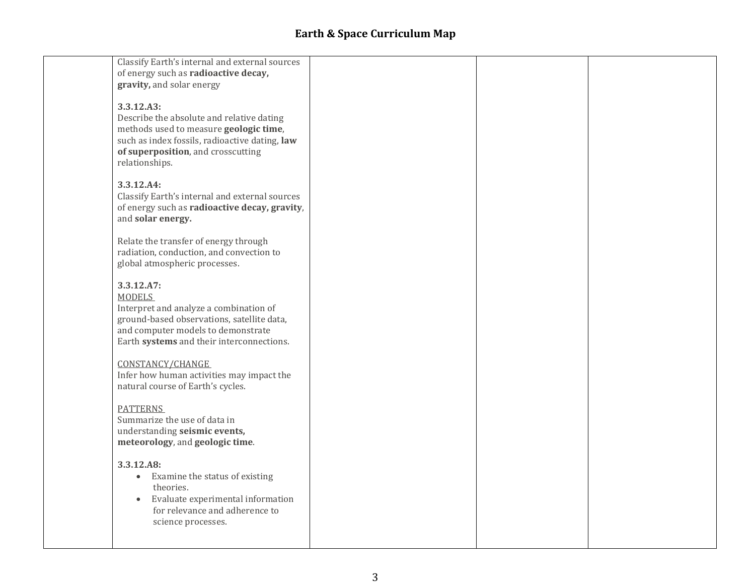| Classify Earth's internal and external sources<br>of energy such as radioactive decay,<br>gravity, and solar energy                                                                                         |  |  |
|-------------------------------------------------------------------------------------------------------------------------------------------------------------------------------------------------------------|--|--|
| 3.3.12.A3:<br>Describe the absolute and relative dating<br>methods used to measure geologic time,<br>such as index fossils, radioactive dating, law<br>of superposition, and crosscutting<br>relationships. |  |  |
| 3.3.12.A4:<br>Classify Earth's internal and external sources<br>of energy such as radioactive decay, gravity,<br>and solar energy.                                                                          |  |  |
| Relate the transfer of energy through<br>radiation, conduction, and convection to<br>global atmospheric processes.                                                                                          |  |  |
| 3.3.12.A7:<br><b>MODELS</b><br>Interpret and analyze a combination of<br>ground-based observations, satellite data,<br>and computer models to demonstrate<br>Earth systems and their interconnections.      |  |  |
| CONSTANCY/CHANGE<br>Infer how human activities may impact the<br>natural course of Earth's cycles.                                                                                                          |  |  |
| <b>PATTERNS</b><br>Summarize the use of data in<br>understanding seismic events,<br>meteorology, and geologic time.                                                                                         |  |  |
| 3.3.12.A8:<br>Examine the status of existing<br>$\bullet$<br>theories.<br>Evaluate experimental information<br>$\bullet$<br>for relevance and adherence to<br>science processes.                            |  |  |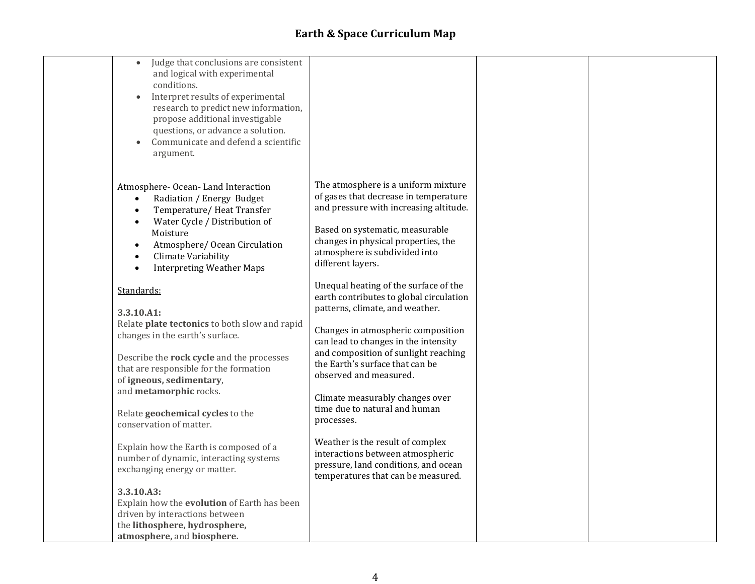| $\bullet$<br>conditions.<br>$\bullet$<br>$\bullet$<br>argument.                                                                                                                                                                                            | Judge that conclusions are consistent<br>and logical with experimental<br>Interpret results of experimental<br>research to predict new information,<br>propose additional investigable<br>questions, or advance a solution.<br>Communicate and defend a scientific |                                                                                                                                                                                                                                                                                                                                                                                                                                                                                                                                                |  |
|------------------------------------------------------------------------------------------------------------------------------------------------------------------------------------------------------------------------------------------------------------|--------------------------------------------------------------------------------------------------------------------------------------------------------------------------------------------------------------------------------------------------------------------|------------------------------------------------------------------------------------------------------------------------------------------------------------------------------------------------------------------------------------------------------------------------------------------------------------------------------------------------------------------------------------------------------------------------------------------------------------------------------------------------------------------------------------------------|--|
| Atmosphere-Ocean-Land Interaction<br>$\bullet$<br>$\bullet$<br>$\bullet$<br>Moisture<br>$\bullet$<br>Climate Variability<br>$\bullet$<br>$\bullet$                                                                                                         | Radiation / Energy Budget<br>Temperature/Heat Transfer<br>Water Cycle / Distribution of<br>Atmosphere/ Ocean Circulation<br><b>Interpreting Weather Maps</b>                                                                                                       | The atmosphere is a uniform mixture<br>of gases that decrease in temperature<br>and pressure with increasing altitude.<br>Based on systematic, measurable<br>changes in physical properties, the<br>atmosphere is subdivided into<br>different layers.                                                                                                                                                                                                                                                                                         |  |
| Standards:<br>3.3.10.A1:<br>changes in the earth's surface.<br>that are responsible for the formation<br>of igneous, sedimentary,<br>and metamorphic rocks.<br>Relate geochemical cycles to the<br>conservation of matter.<br>exchanging energy or matter. | Relate plate tectonics to both slow and rapid<br>Describe the rock cycle and the processes<br>Explain how the Earth is composed of a<br>number of dynamic, interacting systems                                                                                     | Unequal heating of the surface of the<br>earth contributes to global circulation<br>patterns, climate, and weather.<br>Changes in atmospheric composition<br>can lead to changes in the intensity<br>and composition of sunlight reaching<br>the Earth's surface that can be<br>observed and measured.<br>Climate measurably changes over<br>time due to natural and human<br>processes.<br>Weather is the result of complex<br>interactions between atmospheric<br>pressure, land conditions, and ocean<br>temperatures that can be measured. |  |
| 3.3.10.A3:<br>driven by interactions between<br>the lithosphere, hydrosphere,<br>atmosphere, and biosphere.                                                                                                                                                | Explain how the evolution of Earth has been                                                                                                                                                                                                                        |                                                                                                                                                                                                                                                                                                                                                                                                                                                                                                                                                |  |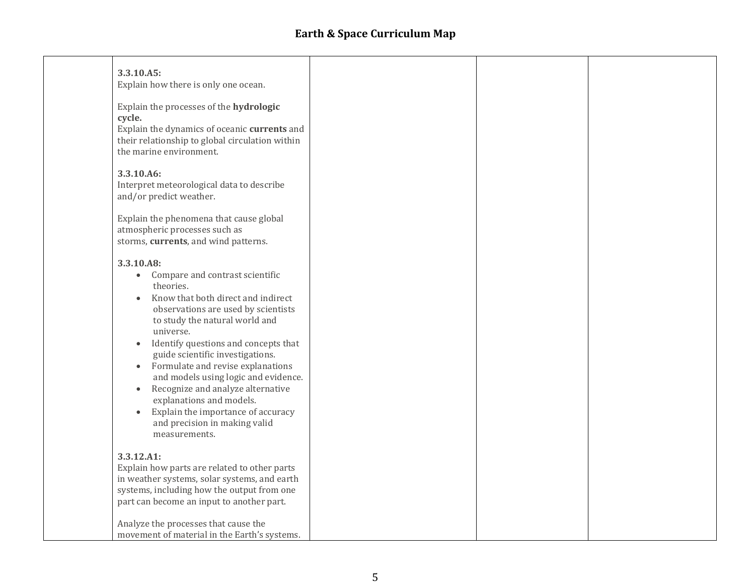| 3.3.10.A5:<br>Explain how there is only one ocean.                                                                                                                                                                                                                                                                                                                                                                                                                                                                                                                        |  |  |
|---------------------------------------------------------------------------------------------------------------------------------------------------------------------------------------------------------------------------------------------------------------------------------------------------------------------------------------------------------------------------------------------------------------------------------------------------------------------------------------------------------------------------------------------------------------------------|--|--|
| Explain the processes of the hydrologic<br>cycle.<br>Explain the dynamics of oceanic currents and<br>their relationship to global circulation within<br>the marine environment.                                                                                                                                                                                                                                                                                                                                                                                           |  |  |
| 3.3.10.A6:<br>Interpret meteorological data to describe<br>and/or predict weather.                                                                                                                                                                                                                                                                                                                                                                                                                                                                                        |  |  |
| Explain the phenomena that cause global<br>atmospheric processes such as<br>storms, currents, and wind patterns.                                                                                                                                                                                                                                                                                                                                                                                                                                                          |  |  |
| 3.3.10.A8:<br>Compare and contrast scientific<br>$\bullet$<br>theories.<br>Know that both direct and indirect<br>$\bullet$<br>observations are used by scientists<br>to study the natural world and<br>universe.<br>Identify questions and concepts that<br>guide scientific investigations.<br>Formulate and revise explanations<br>$\bullet$<br>and models using logic and evidence.<br>Recognize and analyze alternative<br>$\bullet$<br>explanations and models.<br>Explain the importance of accuracy<br>$\bullet$<br>and precision in making valid<br>measurements. |  |  |
| 3.3.12.A1:<br>Explain how parts are related to other parts<br>in weather systems, solar systems, and earth<br>systems, including how the output from one<br>part can become an input to another part.                                                                                                                                                                                                                                                                                                                                                                     |  |  |
| Analyze the processes that cause the<br>movement of material in the Earth's systems.                                                                                                                                                                                                                                                                                                                                                                                                                                                                                      |  |  |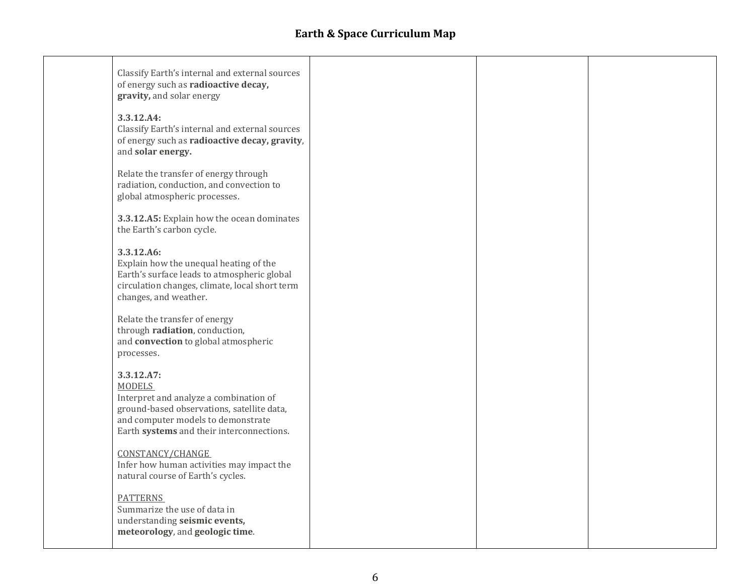| Classify Earth's internal and external sources<br>of energy such as radioactive decay,<br>gravity, and solar energy                                                                                    |  |  |
|--------------------------------------------------------------------------------------------------------------------------------------------------------------------------------------------------------|--|--|
| 3.3.12.A4:<br>Classify Earth's internal and external sources<br>of energy such as radioactive decay, gravity,<br>and solar energy.                                                                     |  |  |
| Relate the transfer of energy through<br>radiation, conduction, and convection to<br>global atmospheric processes.                                                                                     |  |  |
| 3.3.12.A5: Explain how the ocean dominates<br>the Earth's carbon cycle.                                                                                                                                |  |  |
| 3.3.12.A6:<br>Explain how the unequal heating of the<br>Earth's surface leads to atmospheric global<br>circulation changes, climate, local short term<br>changes, and weather.                         |  |  |
| Relate the transfer of energy<br>through radiation, conduction,<br>and convection to global atmospheric<br>processes.                                                                                  |  |  |
| 3.3.12.A7:<br><b>MODELS</b><br>Interpret and analyze a combination of<br>ground-based observations, satellite data,<br>and computer models to demonstrate<br>Earth systems and their interconnections. |  |  |
| CONSTANCY/CHANGE<br>Infer how human activities may impact the<br>natural course of Earth's cycles.                                                                                                     |  |  |
| <b>PATTERNS</b><br>Summarize the use of data in<br>understanding seismic events,<br>meteorology, and geologic time.                                                                                    |  |  |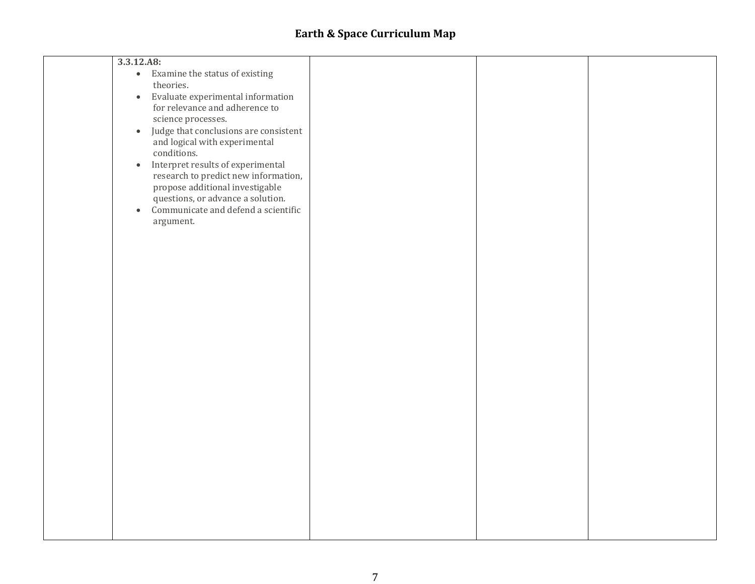| 3.3.12.A8:                                         |  |  |
|----------------------------------------------------|--|--|
| • Examine the status of existing                   |  |  |
| theories.                                          |  |  |
| Evaluate experimental information<br>$\bullet$     |  |  |
| for relevance and adherence to                     |  |  |
| science processes.                                 |  |  |
|                                                    |  |  |
| Judge that conclusions are consistent<br>$\bullet$ |  |  |
| and logical with experimental                      |  |  |
| conditions.                                        |  |  |
| Interpret results of experimental<br>$\bullet$     |  |  |
| research to predict new information,               |  |  |
| propose additional investigable                    |  |  |
| questions, or advance a solution.                  |  |  |
| Communicate and defend a scientific<br>$\bullet$   |  |  |
| argument.                                          |  |  |
|                                                    |  |  |
|                                                    |  |  |
|                                                    |  |  |
|                                                    |  |  |
|                                                    |  |  |
|                                                    |  |  |
|                                                    |  |  |
|                                                    |  |  |
|                                                    |  |  |
|                                                    |  |  |
|                                                    |  |  |
|                                                    |  |  |
|                                                    |  |  |
|                                                    |  |  |
|                                                    |  |  |
|                                                    |  |  |
|                                                    |  |  |
|                                                    |  |  |
|                                                    |  |  |
|                                                    |  |  |
|                                                    |  |  |
|                                                    |  |  |
|                                                    |  |  |
|                                                    |  |  |
|                                                    |  |  |
|                                                    |  |  |
|                                                    |  |  |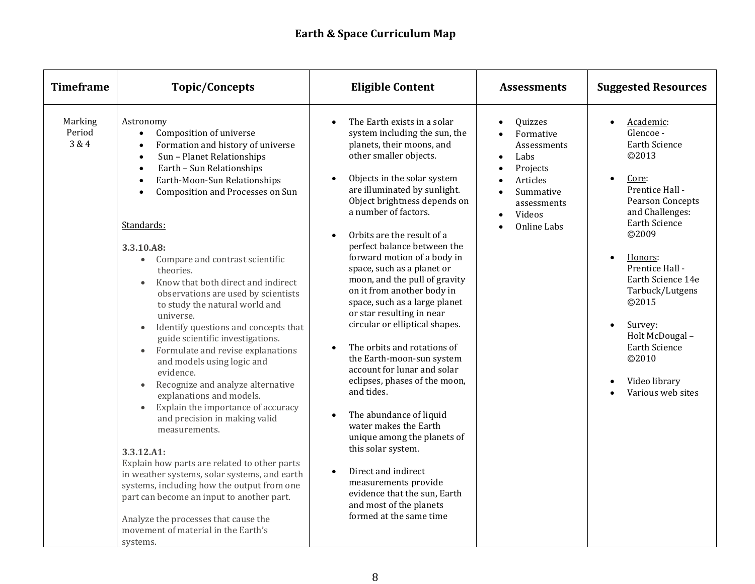| <b>Timeframe</b>           | <b>Topic/Concepts</b>                                                                                                                                                                                                                                                                                                                                                                                                                                                                                                                                                                                                                                                                                                                                                                                                                                                                                                                                                                                                                                                                                                                                          | <b>Eligible Content</b>                                                                                                                                                                                                                                                                                                                                                                                                                                                                                                                                                                                                                                                                                                                                                                                                                                                                                                                                            | <b>Assessments</b>                                                                                                                                 | <b>Suggested Resources</b>                                                                                                                                                                                                                                                                                                                                                      |
|----------------------------|----------------------------------------------------------------------------------------------------------------------------------------------------------------------------------------------------------------------------------------------------------------------------------------------------------------------------------------------------------------------------------------------------------------------------------------------------------------------------------------------------------------------------------------------------------------------------------------------------------------------------------------------------------------------------------------------------------------------------------------------------------------------------------------------------------------------------------------------------------------------------------------------------------------------------------------------------------------------------------------------------------------------------------------------------------------------------------------------------------------------------------------------------------------|--------------------------------------------------------------------------------------------------------------------------------------------------------------------------------------------------------------------------------------------------------------------------------------------------------------------------------------------------------------------------------------------------------------------------------------------------------------------------------------------------------------------------------------------------------------------------------------------------------------------------------------------------------------------------------------------------------------------------------------------------------------------------------------------------------------------------------------------------------------------------------------------------------------------------------------------------------------------|----------------------------------------------------------------------------------------------------------------------------------------------------|---------------------------------------------------------------------------------------------------------------------------------------------------------------------------------------------------------------------------------------------------------------------------------------------------------------------------------------------------------------------------------|
| Marking<br>Period<br>3 & 4 | Astronomy<br>Composition of universe<br>$\bullet$<br>Formation and history of universe<br>$\bullet$<br>Sun - Planet Relationships<br>$\bullet$<br>Earth - Sun Relationships<br>$\bullet$<br>Earth-Moon-Sun Relationships<br>$\bullet$<br>Composition and Processes on Sun<br>$\bullet$<br>Standards:<br>3.3.10.A8:<br>Compare and contrast scientific<br>$\bullet$<br>theories.<br>Know that both direct and indirect<br>$\bullet$<br>observations are used by scientists<br>to study the natural world and<br>universe.<br>Identify questions and concepts that<br>guide scientific investigations.<br>Formulate and revise explanations<br>and models using logic and<br>evidence.<br>Recognize and analyze alternative<br>explanations and models.<br>Explain the importance of accuracy<br>$\bullet$<br>and precision in making valid<br>measurements.<br>3.3.12.A1:<br>Explain how parts are related to other parts<br>in weather systems, solar systems, and earth<br>systems, including how the output from one<br>part can become an input to another part.<br>Analyze the processes that cause the<br>movement of material in the Earth's<br>systems. | The Earth exists in a solar<br>$\bullet$<br>system including the sun, the<br>planets, their moons, and<br>other smaller objects.<br>Objects in the solar system<br>are illuminated by sunlight.<br>Object brightness depends on<br>a number of factors.<br>Orbits are the result of a<br>perfect balance between the<br>forward motion of a body in<br>space, such as a planet or<br>moon, and the pull of gravity<br>on it from another body in<br>space, such as a large planet<br>or star resulting in near<br>circular or elliptical shapes.<br>The orbits and rotations of<br>$\bullet$<br>the Earth-moon-sun system<br>account for lunar and solar<br>eclipses, phases of the moon,<br>and tides.<br>The abundance of liquid<br>water makes the Earth<br>unique among the planets of<br>this solar system.<br>Direct and indirect<br>$\bullet$<br>measurements provide<br>evidence that the sun, Earth<br>and most of the planets<br>formed at the same time | Quizzes<br>Formative<br>Assessments<br>Labs<br>$\bullet$<br>Projects<br>Articles<br>Summative<br>assessments<br>Videos<br>$\bullet$<br>Online Labs | Academic:<br>$\bullet$<br>Glencoe -<br>Earth Science<br>©2013<br>Core:<br>$\bullet$<br>Prentice Hall -<br>Pearson Concepts<br>and Challenges:<br><b>Earth Science</b><br>©2009<br>Honors:<br>$\bullet$<br>Prentice Hall -<br>Earth Science 14e<br>Tarbuck/Lutgens<br>©2015<br>Survey:<br>Holt McDougal -<br><b>Earth Science</b><br>©2010<br>Video library<br>Various web sites |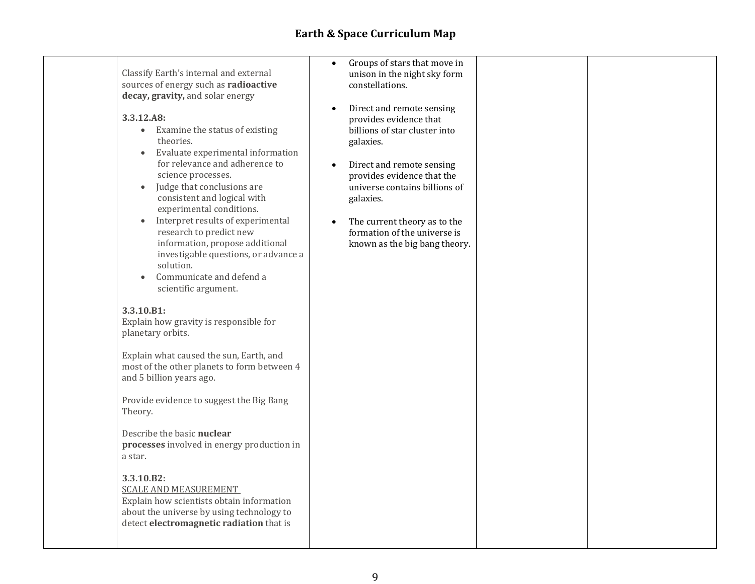| Classify Earth's internal and external<br>sources of energy such as radioactive<br>decay, gravity, and solar energy<br>3.3.12.A8:<br>Examine the status of existing<br>$\bullet$<br>theories.<br>Evaluate experimental information<br>$\bullet$<br>for relevance and adherence to<br>science processes.<br>Judge that conclusions are<br>$\bullet$<br>consistent and logical with<br>experimental conditions.<br>Interpret results of experimental<br>$\bullet$<br>research to predict new<br>information, propose additional<br>investigable questions, or advance a<br>solution.<br>Communicate and defend a<br>scientific argument.<br>3.3.10.B1:<br>Explain how gravity is responsible for<br>planetary orbits.<br>Explain what caused the sun, Earth, and<br>most of the other planets to form between 4<br>and 5 billion years ago.<br>Provide evidence to suggest the Big Bang<br>Theory.<br>Describe the basic nuclear<br>processes involved in energy production in<br>a star.<br>3.3.10.B2:<br><b>SCALE AND MEASUREMENT</b><br>Explain how scientists obtain information<br>about the universe by using technology to<br>detect electromagnetic radiation that is | Groups of stars that move in<br>$\bullet$<br>unison in the night sky form<br>constellations.<br>Direct and remote sensing<br>$\bullet$<br>provides evidence that<br>billions of star cluster into<br>galaxies.<br>Direct and remote sensing<br>$\bullet$<br>provides evidence that the<br>universe contains billions of<br>galaxies.<br>The current theory as to the<br>$\bullet$<br>formation of the universe is<br>known as the big bang theory. |  |
|-----------------------------------------------------------------------------------------------------------------------------------------------------------------------------------------------------------------------------------------------------------------------------------------------------------------------------------------------------------------------------------------------------------------------------------------------------------------------------------------------------------------------------------------------------------------------------------------------------------------------------------------------------------------------------------------------------------------------------------------------------------------------------------------------------------------------------------------------------------------------------------------------------------------------------------------------------------------------------------------------------------------------------------------------------------------------------------------------------------------------------------------------------------------------------|----------------------------------------------------------------------------------------------------------------------------------------------------------------------------------------------------------------------------------------------------------------------------------------------------------------------------------------------------------------------------------------------------------------------------------------------------|--|
|-----------------------------------------------------------------------------------------------------------------------------------------------------------------------------------------------------------------------------------------------------------------------------------------------------------------------------------------------------------------------------------------------------------------------------------------------------------------------------------------------------------------------------------------------------------------------------------------------------------------------------------------------------------------------------------------------------------------------------------------------------------------------------------------------------------------------------------------------------------------------------------------------------------------------------------------------------------------------------------------------------------------------------------------------------------------------------------------------------------------------------------------------------------------------------|----------------------------------------------------------------------------------------------------------------------------------------------------------------------------------------------------------------------------------------------------------------------------------------------------------------------------------------------------------------------------------------------------------------------------------------------------|--|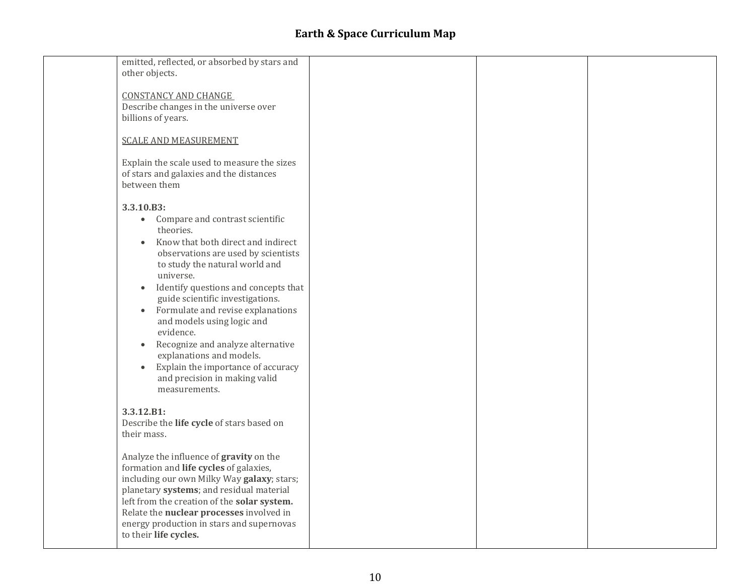| emitted, reflected, or absorbed by stars and<br>other objects.                                                                                                                                                                                                                                                                                                                                                                                                                                                                                                                            |  |  |
|-------------------------------------------------------------------------------------------------------------------------------------------------------------------------------------------------------------------------------------------------------------------------------------------------------------------------------------------------------------------------------------------------------------------------------------------------------------------------------------------------------------------------------------------------------------------------------------------|--|--|
| <b>CONSTANCY AND CHANGE</b><br>Describe changes in the universe over<br>billions of years.                                                                                                                                                                                                                                                                                                                                                                                                                                                                                                |  |  |
| <b>SCALE AND MEASUREMENT</b>                                                                                                                                                                                                                                                                                                                                                                                                                                                                                                                                                              |  |  |
| Explain the scale used to measure the sizes<br>of stars and galaxies and the distances<br>between them                                                                                                                                                                                                                                                                                                                                                                                                                                                                                    |  |  |
| 3.3.10.B3:<br>Compare and contrast scientific<br>$\bullet$<br>theories.<br>Know that both direct and indirect<br>$\bullet$<br>observations are used by scientists<br>to study the natural world and<br>universe.<br>Identify questions and concepts that<br>$\bullet$<br>guide scientific investigations.<br>Formulate and revise explanations<br>$\bullet$<br>and models using logic and<br>evidence.<br>Recognize and analyze alternative<br>$\bullet$<br>explanations and models.<br>Explain the importance of accuracy<br>$\bullet$<br>and precision in making valid<br>measurements. |  |  |
| 3.3.12.B1:<br>Describe the life cycle of stars based on<br>their mass.                                                                                                                                                                                                                                                                                                                                                                                                                                                                                                                    |  |  |
| Analyze the influence of gravity on the<br>formation and life cycles of galaxies,<br>including our own Milky Way galaxy; stars;<br>planetary systems; and residual material<br>left from the creation of the solar system.<br>Relate the nuclear processes involved in<br>energy production in stars and supernovas<br>to their life cycles.                                                                                                                                                                                                                                              |  |  |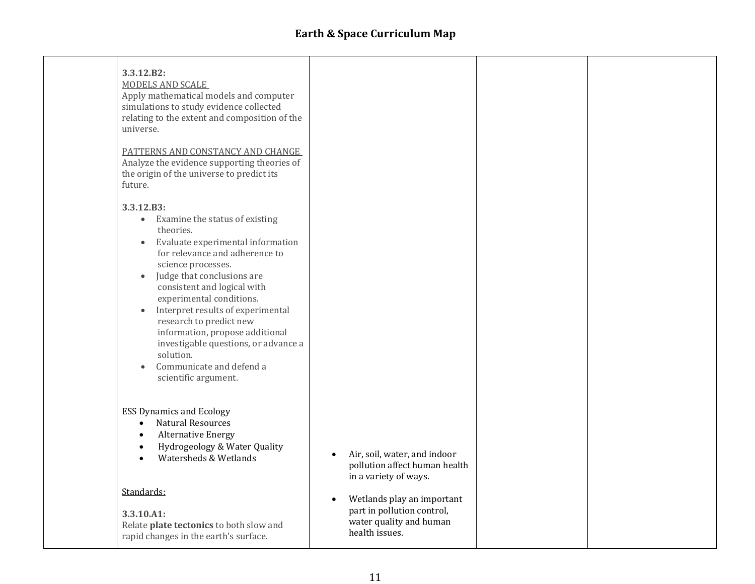| 3.3.12.B2:<br>MODELS AND SCALE<br>Apply mathematical models and computer<br>simulations to study evidence collected<br>relating to the extent and composition of the<br>universe.<br>PATTERNS AND CONSTANCY AND CHANGE<br>Analyze the evidence supporting theories of<br>the origin of the universe to predict its<br>future.                                                                                                                                                                                                |                                                                                                                    |  |
|------------------------------------------------------------------------------------------------------------------------------------------------------------------------------------------------------------------------------------------------------------------------------------------------------------------------------------------------------------------------------------------------------------------------------------------------------------------------------------------------------------------------------|--------------------------------------------------------------------------------------------------------------------|--|
| 3.3.12.B3:<br>Examine the status of existing<br>$\bullet$<br>theories.<br>Evaluate experimental information<br>$\bullet$<br>for relevance and adherence to<br>science processes.<br>Judge that conclusions are<br>$\bullet$<br>consistent and logical with<br>experimental conditions.<br>Interpret results of experimental<br>$\bullet$<br>research to predict new<br>information, propose additional<br>investigable questions, or advance a<br>solution.<br>Communicate and defend a<br>$\bullet$<br>scientific argument. |                                                                                                                    |  |
| <b>ESS Dynamics and Ecology</b><br><b>Natural Resources</b><br>$\bullet$<br><b>Alternative Energy</b><br>$\bullet$<br>Hydrogeology & Water Quality<br>$\bullet$<br>Watersheds & Wetlands                                                                                                                                                                                                                                                                                                                                     | Air, soil, water, and indoor<br>pollution affect human health<br>in a variety of ways.                             |  |
| Standards:<br>3.3.10.A1:<br>Relate plate tectonics to both slow and<br>rapid changes in the earth's surface.                                                                                                                                                                                                                                                                                                                                                                                                                 | Wetlands play an important<br>$\bullet$<br>part in pollution control,<br>water quality and human<br>health issues. |  |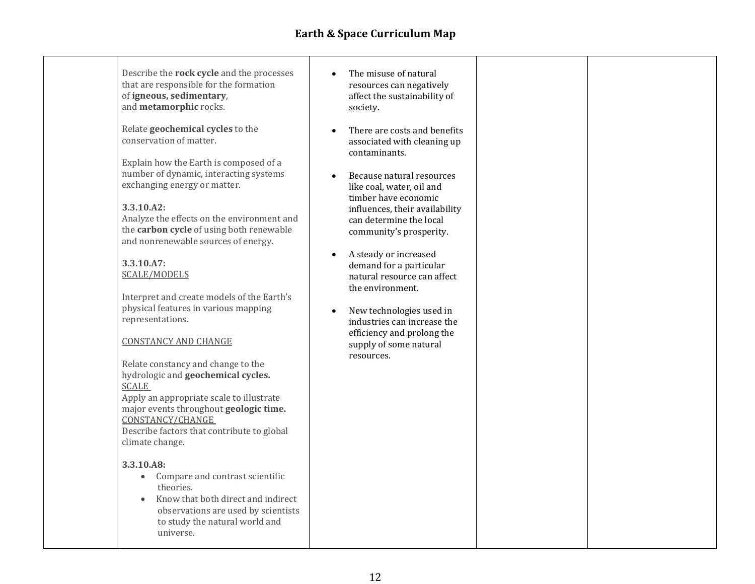| Describe the rock cycle and the processes<br>that are responsible for the formation<br>of igneous, sedimentary,<br>and metamorphic rocks.<br>Relate geochemical cycles to the<br>conservation of matter.<br>Explain how the Earth is composed of a<br>number of dynamic, interacting systems<br>exchanging energy or matter.<br>3.3.10.A2:<br>Analyze the effects on the environment and<br>the carbon cycle of using both renewable<br>and nonrenewable sources of energy.<br>3.3.10.A7:                                                                                                                                                  | The misuse of natural<br>$\bullet$<br>resources can negatively<br>affect the sustainability of<br>society.<br>There are costs and benefits<br>$\bullet$<br>associated with cleaning up<br>contaminants.<br>Because natural resources<br>$\bullet$<br>like coal, water, oil and<br>timber have economic<br>influences, their availability<br>can determine the local<br>community's prosperity.<br>A steady or increased<br>$\bullet$<br>demand for a particular |  |
|--------------------------------------------------------------------------------------------------------------------------------------------------------------------------------------------------------------------------------------------------------------------------------------------------------------------------------------------------------------------------------------------------------------------------------------------------------------------------------------------------------------------------------------------------------------------------------------------------------------------------------------------|-----------------------------------------------------------------------------------------------------------------------------------------------------------------------------------------------------------------------------------------------------------------------------------------------------------------------------------------------------------------------------------------------------------------------------------------------------------------|--|
| <b>SCALE/MODELS</b><br>Interpret and create models of the Earth's<br>physical features in various mapping<br>representations.<br><b>CONSTANCY AND CHANGE</b><br>Relate constancy and change to the<br>hydrologic and geochemical cycles.<br><b>SCALE</b><br>Apply an appropriate scale to illustrate<br>major events throughout geologic time.<br>CONSTANCY/CHANGE<br>Describe factors that contribute to global<br>climate change.<br>3.3.10.A8:<br>Compare and contrast scientific<br>$\bullet$<br>theories.<br>Know that both direct and indirect<br>observations are used by scientists<br>to study the natural world and<br>universe. | natural resource can affect<br>the environment.<br>New technologies used in<br>$\bullet$<br>industries can increase the<br>efficiency and prolong the<br>supply of some natural<br>resources.                                                                                                                                                                                                                                                                   |  |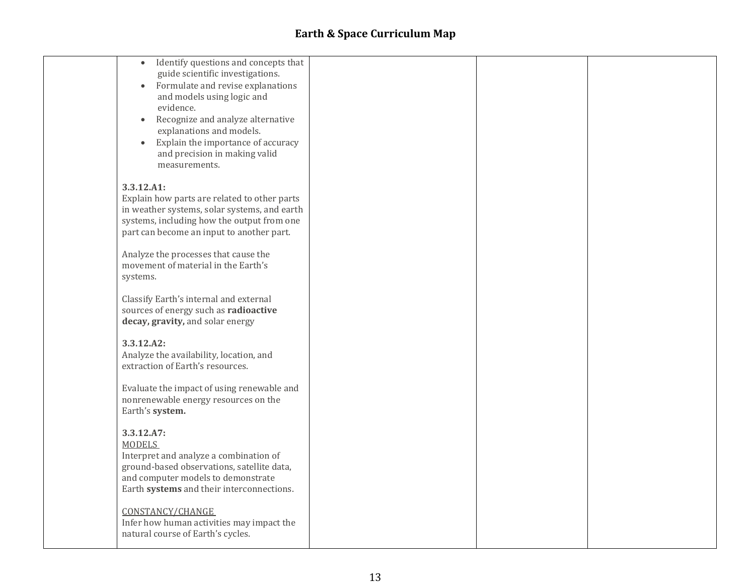| Identify questions and concepts that<br>$\bullet$<br>guide scientific investigations.      |  |  |
|--------------------------------------------------------------------------------------------|--|--|
| Formulate and revise explanations<br>$\bullet$                                             |  |  |
| and models using logic and<br>evidence.                                                    |  |  |
| Recognize and analyze alternative<br>$\bullet$                                             |  |  |
| explanations and models.                                                                   |  |  |
| Explain the importance of accuracy<br>$\bullet$<br>and precision in making valid           |  |  |
| measurements.                                                                              |  |  |
| 3.3.12.A1:                                                                                 |  |  |
| Explain how parts are related to other parts                                               |  |  |
| in weather systems, solar systems, and earth<br>systems, including how the output from one |  |  |
| part can become an input to another part.                                                  |  |  |
| Analyze the processes that cause the                                                       |  |  |
| movement of material in the Earth's                                                        |  |  |
| systems.                                                                                   |  |  |
| Classify Earth's internal and external                                                     |  |  |
| sources of energy such as radioactive<br>decay, gravity, and solar energy                  |  |  |
|                                                                                            |  |  |
| 3.3.12.A2:<br>Analyze the availability, location, and                                      |  |  |
| extraction of Earth's resources.                                                           |  |  |
| Evaluate the impact of using renewable and                                                 |  |  |
| nonrenewable energy resources on the                                                       |  |  |
| Earth's system.                                                                            |  |  |
| 3.3.12.A7:<br><b>MODELS</b>                                                                |  |  |
| Interpret and analyze a combination of                                                     |  |  |
| ground-based observations, satellite data,                                                 |  |  |
| and computer models to demonstrate<br>Earth systems and their interconnections.            |  |  |
|                                                                                            |  |  |
| CONSTANCY/CHANGE<br>Infer how human activities may impact the                              |  |  |
| natural course of Earth's cycles.                                                          |  |  |
|                                                                                            |  |  |